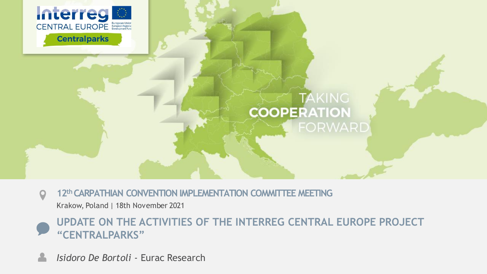

### **TAKING COOPERATION FORWARD**

**12thCARPATHIAN CONVENTION IMPLEMENTATION COMMITTEE MEETING**   $\mathbf Q$ 

Krakow, Poland | 18th November 2021



*Isidoro De Bortoli -* Eurac Research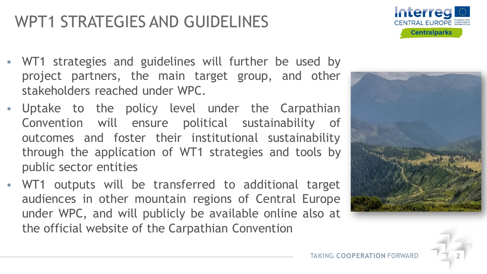## WPT1 STRATEGIES AND GUIDELINES

- WT1 strategies and guidelines will further be used by project partners, the main target group, and other stakeholders reached under WPC.
- **E** Uptake to the policy level under the Carpathian Convention will ensure political sustainability of outcomes and foster their institutional sustainability through the application of WT1 strategies and tools by public sector entities
- WT1 outputs will be transferred to additional target audiences in other mountain regions of Central Europe under WPC, and will publicly be available online also at the official website of the Carpathian Convention



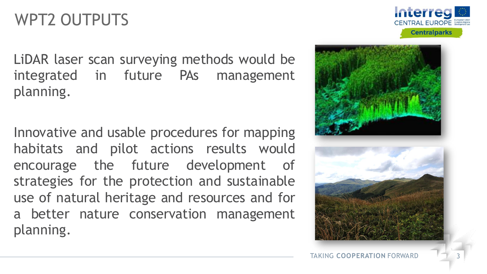# WPT2 OUTPUTS

LiDAR laser scan surveying methods would be integrated in future PAs management planning.

Innovative and usable procedures for mapping habitats and pilot actions results would encourage the future development of strategies for the protection and sustainable use of natural heritage and resources and for a better nature conservation management planning.



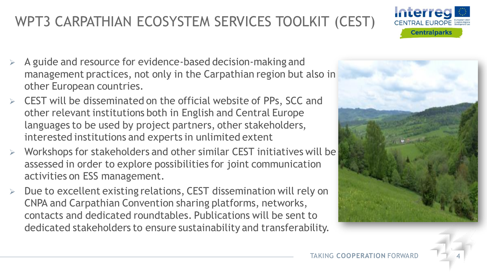- 
- Workshops for stakeholders and other similar CEST initiatives will be assessed in order to explore possibilities for joint communication activities on ESS management.
- ➢ Due to excellent existing relations, CEST dissemination will rely on CNPA and Carpathian Convention sharing platforms, networks, contacts and dedicated roundtables. Publications will be sent to dedicated stakeholders to ensure sustainability and transferability.

## WPT3 CARPATHIAN ECOSYSTEM SERVICES TOOLKIT (CEST)

- ➢ A guide and resource for evidence-based decision-making and management practices, not only in the Carpathian region but also in other European countries.
- $\triangleright$  CEST will be disseminated on the official website of PPs, SCC and other relevant institutions both in English and Central Europe languages to be used by project partners, other stakeholders, interested institutions and experts in unlimited extent





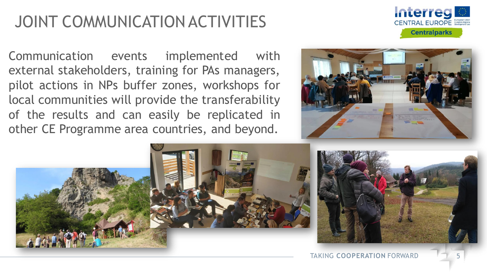# JOINT COMMUNICATION ACTIVITIES

Communication events implemented with external stakeholders, training for PAs managers, pilot actions in NPs buffer zones, workshops for local communities will provide the transferability of the results and can easily be replicated in other CE Programme area countries, and beyond.



Interreg CENTRAL EUROPE

**Centralparks** 

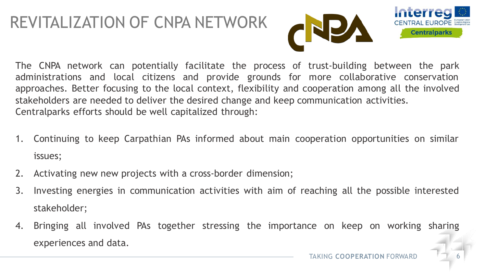## REVITALIZATION OF CNPA NETWORK





- 1. Continuing to keep Carpathian PAs informed about main cooperation opportunities on similar issues;
- 2. Activating new new projects with a cross-border dimension;
- 3. Investing energies in communication activities with aim of reaching all the possible interested stakeholder;
- 4. Bringing all involved PAs together stressing the importance on keep on working sharing experiences and data.